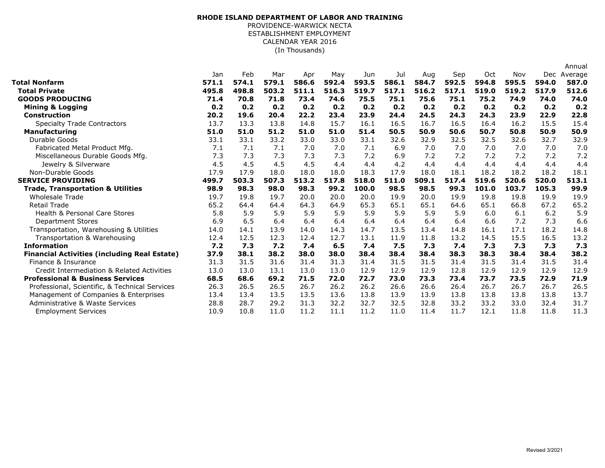## (In Thousands) **RHODE ISLAND DEPARTMENT OF LABOR AND TRAINING** PROVIDENCE-WARWICK NECTA ESTABLISHMENT EMPLOYMENT CALENDAR YEAR 2016

|                                                     |       |       |       |       |       |       |       |       |       |       |       |            | Annual  |
|-----------------------------------------------------|-------|-------|-------|-------|-------|-------|-------|-------|-------|-------|-------|------------|---------|
|                                                     | Jan   | Feb   | Mar   | Apr   | May   | Jun   | Jul   | Aug   | Sep   | Oct   | Nov   | <b>Dec</b> | Average |
| <b>Total Nonfarm</b>                                | 571.1 | 574.1 | 579.1 | 586.6 | 592.4 | 593.5 | 586.1 | 584.7 | 592.5 | 594.8 | 595.5 | 594.0      | 587.0   |
| <b>Total Private</b>                                | 495.8 | 498.8 | 503.2 | 511.1 | 516.3 | 519.7 | 517.1 | 516.2 | 517.1 | 519.0 | 519.2 | 517.9      | 512.6   |
| <b>GOODS PRODUCING</b>                              | 71.4  | 70.8  | 71.8  | 73.4  | 74.6  | 75.5  | 75.1  | 75.6  | 75.1  | 75.2  | 74.9  | 74.0       | 74.0    |
| <b>Mining &amp; Logging</b>                         | 0.2   | 0.2   | 0.2   | 0.2   | 0.2   | 0.2   | 0.2   | 0.2   | 0.2   | 0.2   | 0.2   | 0.2        | 0.2     |
| <b>Construction</b>                                 | 20.2  | 19.6  | 20.4  | 22.2  | 23.4  | 23.9  | 24.4  | 24.5  | 24.3  | 24.3  | 23.9  | 22.9       | 22.8    |
| <b>Specialty Trade Contractors</b>                  | 13.7  | 13.3  | 13.8  | 14.8  | 15.7  | 16.1  | 16.5  | 16.7  | 16.5  | 16.4  | 16.2  | 15.5       | 15.4    |
| <b>Manufacturing</b>                                | 51.0  | 51.0  | 51.2  | 51.0  | 51.0  | 51.4  | 50.5  | 50.9  | 50.6  | 50.7  | 50.8  | 50.9       | 50.9    |
| Durable Goods                                       | 33.1  | 33.1  | 33.2  | 33.0  | 33.0  | 33.1  | 32.6  | 32.9  | 32.5  | 32.5  | 32.6  | 32.7       | 32.9    |
| Fabricated Metal Product Mfg.                       | 7.1   | 7.1   | 7.1   | 7.0   | 7.0   | 7.1   | 6.9   | 7.0   | 7.0   | 7.0   | 7.0   | 7.0        | 7.0     |
| Miscellaneous Durable Goods Mfg.                    | 7.3   | 7.3   | 7.3   | 7.3   | 7.3   | 7.2   | 6.9   | 7.2   | 7.2   | 7.2   | 7.2   | 7.2        | 7.2     |
| Jewelry & Silverware                                | 4.5   | 4.5   | 4.5   | 4.5   | 4.4   | 4.4   | 4.2   | 4.4   | 4.4   | 4.4   | 4.4   | 4.4        | 4.4     |
| Non-Durable Goods                                   | 17.9  | 17.9  | 18.0  | 18.0  | 18.0  | 18.3  | 17.9  | 18.0  | 18.1  | 18.2  | 18.2  | 18.2       | 18.1    |
| <b>SERVICE PROVIDING</b>                            | 499.7 | 503.3 | 507.3 | 513.2 | 517.8 | 518.0 | 511.0 | 509.1 | 517.4 | 519.6 | 520.6 | 520.0      | 513.1   |
| <b>Trade, Transportation &amp; Utilities</b>        | 98.9  | 98.3  | 98.0  | 98.3  | 99.2  | 100.0 | 98.5  | 98.5  | 99.3  | 101.0 | 103.7 | 105.3      | 99.9    |
| <b>Wholesale Trade</b>                              | 19.7  | 19.8  | 19.7  | 20.0  | 20.0  | 20.0  | 19.9  | 20.0  | 19.9  | 19.8  | 19.8  | 19.9       | 19.9    |
| <b>Retail Trade</b>                                 | 65.2  | 64.4  | 64.4  | 64.3  | 64.9  | 65.3  | 65.1  | 65.1  | 64.6  | 65.1  | 66.8  | 67.2       | 65.2    |
| Health & Personal Care Stores                       | 5.8   | 5.9   | 5.9   | 5.9   | 5.9   | 5.9   | 5.9   | 5.9   | 5.9   | 6.0   | 6.1   | 6.2        | 5.9     |
| <b>Department Stores</b>                            | 6.9   | 6.5   | 6.4   | 6.4   | 6.4   | 6.4   | 6.4   | 6.4   | 6.4   | 6.6   | 7.2   | 7.3        | 6.6     |
| Transportation, Warehousing & Utilities             | 14.0  | 14.1  | 13.9  | 14.0  | 14.3  | 14.7  | 13.5  | 13.4  | 14.8  | 16.1  | 17.1  | 18.2       | 14.8    |
| Transportation & Warehousing                        | 12.4  | 12.5  | 12.3  | 12.4  | 12.7  | 13.1  | 11.9  | 11.8  | 13.2  | 14.5  | 15.5  | 16.5       | 13.2    |
| <b>Information</b>                                  | 7.2   | 7.3   | 7.2   | 7.4   | 6.5   | 7.4   | 7.5   | 7.3   | 7.4   | 7.3   | 7.3   | 7.3        | 7.3     |
| <b>Financial Activities (including Real Estate)</b> | 37.9  | 38.1  | 38.2  | 38.0  | 38.0  | 38.4  | 38.4  | 38.4  | 38.3  | 38.3  | 38.4  | 38.4       | 38.2    |
| Finance & Insurance                                 | 31.3  | 31.5  | 31.6  | 31.4  | 31.3  | 31.4  | 31.5  | 31.5  | 31.4  | 31.5  | 31.4  | 31.5       | 31.4    |
| Credit Intermediation & Related Activities          | 13.0  | 13.0  | 13.1  | 13.0  | 13.0  | 12.9  | 12.9  | 12.9  | 12.8  | 12.9  | 12.9  | 12.9       | 12.9    |
| <b>Professional &amp; Business Services</b>         | 68.5  | 68.6  | 69.2  | 71.5  | 72.0  | 72.7  | 73.0  | 73.3  | 73.4  | 73.7  | 73.5  | 72.9       | 71.9    |
| Professional, Scientific, & Technical Services      | 26.3  | 26.5  | 26.5  | 26.7  | 26.2  | 26.2  | 26.6  | 26.6  | 26.4  | 26.7  | 26.7  | 26.7       | 26.5    |
| Management of Companies & Enterprises               | 13.4  | 13.4  | 13.5  | 13.5  | 13.6  | 13.8  | 13.9  | 13.9  | 13.8  | 13.8  | 13.8  | 13.8       | 13.7    |
| Administrative & Waste Services                     | 28.8  | 28.7  | 29.2  | 31.3  | 32.2  | 32.7  | 32.5  | 32.8  | 33.2  | 33.2  | 33.0  | 32.4       | 31.7    |
| <b>Employment Services</b>                          | 10.9  | 10.8  | 11.0  | 11.2  | 11.1  | 11.2  | 11.0  | 11.4  | 11.7  | 12.1  | 11.8  | 11.8       | 11.3    |